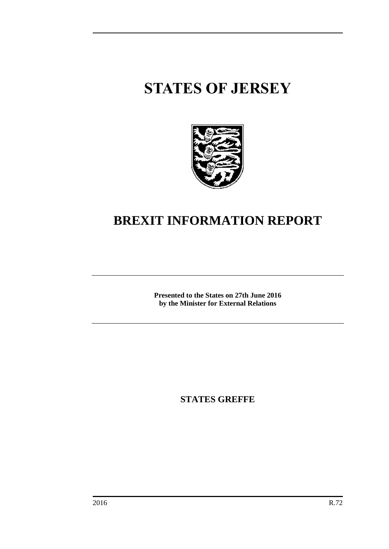# **STATES OF JERSEY**



# **BREXIT INFORMATION REPORT**

**Presented to the States on 27th June 2016 by the Minister for External Relations**

**STATES GREFFE**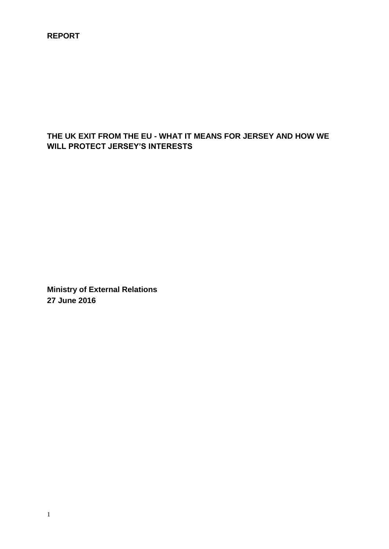**REPORT**

# **THE UK EXIT FROM THE EU - WHAT IT MEANS FOR JERSEY AND HOW WE WILL PROTECT JERSEY'S INTERESTS**

**Ministry of External Relations 27 June 2016**

1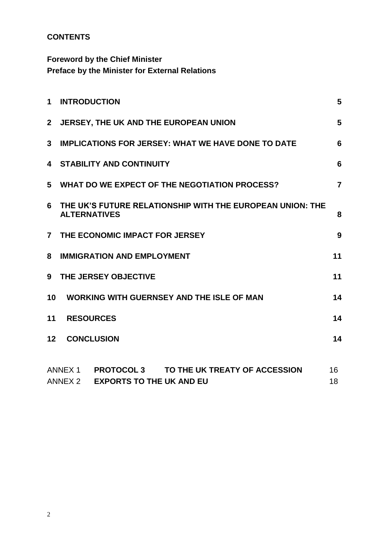# **CONTENTS**

**Foreword by the Chief Minister Preface by the Minister for External Relations**

| 1              | <b>INTRODUCTION</b>                                                                                                | 5        |  |  |  |  |
|----------------|--------------------------------------------------------------------------------------------------------------------|----------|--|--|--|--|
| $\mathbf{2}$   | JERSEY, THE UK AND THE EUROPEAN UNION                                                                              |          |  |  |  |  |
| 3              | <b>IMPLICATIONS FOR JERSEY: WHAT WE HAVE DONE TO DATE</b>                                                          |          |  |  |  |  |
| 4              | <b>STABILITY AND CONTINUITY</b>                                                                                    |          |  |  |  |  |
| 5              | WHAT DO WE EXPECT OF THE NEGOTIATION PROCESS?                                                                      |          |  |  |  |  |
| 6              | THE UK'S FUTURE RELATIONSHIP WITH THE EUROPEAN UNION: THE<br><b>ALTERNATIVES</b>                                   |          |  |  |  |  |
| $\overline{7}$ | THE ECONOMIC IMPACT FOR JERSEY                                                                                     |          |  |  |  |  |
| 8              | 11<br><b>IMMIGRATION AND EMPLOYMENT</b>                                                                            |          |  |  |  |  |
| 9              | 11<br>THE JERSEY OBJECTIVE                                                                                         |          |  |  |  |  |
| 10             | <b>WORKING WITH GUERNSEY AND THE ISLE OF MAN</b>                                                                   | 14       |  |  |  |  |
| 11             | 14<br><b>RESOURCES</b>                                                                                             |          |  |  |  |  |
| 12             | <b>CONCLUSION</b>                                                                                                  | 14       |  |  |  |  |
|                | ANNEX 1<br><b>PROTOCOL 3</b><br>TO THE UK TREATY OF ACCESSION<br><b>EXPORTS TO THE UK AND EU</b><br><b>ANNEX 2</b> | 16<br>18 |  |  |  |  |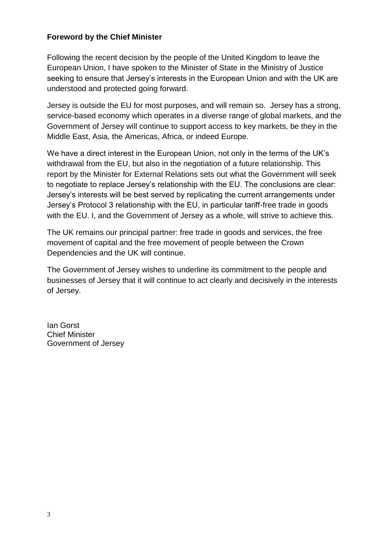#### **Foreword by the Chief Minister**

Following the recent decision by the people of the United Kingdom to leave the European Union, I have spoken to the Minister of State in the Ministry of Justice seeking to ensure that Jersey's interests in the European Union and with the UK are understood and protected going forward.

Jersey is outside the EU for most purposes, and will remain so. Jersey has a strong, service-based economy which operates in a diverse range of global markets, and the Government of Jersey will continue to support access to key markets, be they in the Middle East, Asia, the Americas, Africa, or indeed Europe.

We have a direct interest in the European Union, not only in the terms of the UK's withdrawal from the EU, but also in the negotiation of a future relationship. This report by the Minister for External Relations sets out what the Government will seek to negotiate to replace Jersey's relationship with the EU. The conclusions are clear: Jersey's interests will be best served by replicating the current arrangements under Jersey's Protocol 3 relationship with the EU, in particular tariff-free trade in goods with the EU. I, and the Government of Jersey as a whole, will strive to achieve this.

The UK remains our principal partner: free trade in goods and services, the free movement of capital and the free movement of people between the Crown Dependencies and the UK will continue.

The Government of Jersey wishes to underline its commitment to the people and businesses of Jersey that it will continue to act clearly and decisively in the interests of Jersey.

Ian Gorst Chief Minister Government of Jersey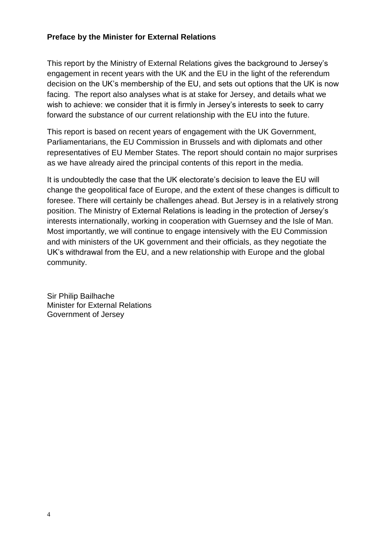#### **Preface by the Minister for External Relations**

This report by the Ministry of External Relations gives the background to Jersey's engagement in recent years with the UK and the EU in the light of the referendum decision on the UK's membership of the EU, and sets out options that the UK is now facing. The report also analyses what is at stake for Jersey, and details what we wish to achieve: we consider that it is firmly in Jersey's interests to seek to carry forward the substance of our current relationship with the EU into the future.

This report is based on recent years of engagement with the UK Government, Parliamentarians, the EU Commission in Brussels and with diplomats and other representatives of EU Member States. The report should contain no major surprises as we have already aired the principal contents of this report in the media.

It is undoubtedly the case that the UK electorate's decision to leave the EU will change the geopolitical face of Europe, and the extent of these changes is difficult to foresee. There will certainly be challenges ahead. But Jersey is in a relatively strong position. The Ministry of External Relations is leading in the protection of Jersey's interests internationally, working in cooperation with Guernsey and the Isle of Man. Most importantly, we will continue to engage intensively with the EU Commission and with ministers of the UK government and their officials, as they negotiate the UK's withdrawal from the EU, and a new relationship with Europe and the global community.

Sir Philip Bailhache Minister for External Relations Government of Jersey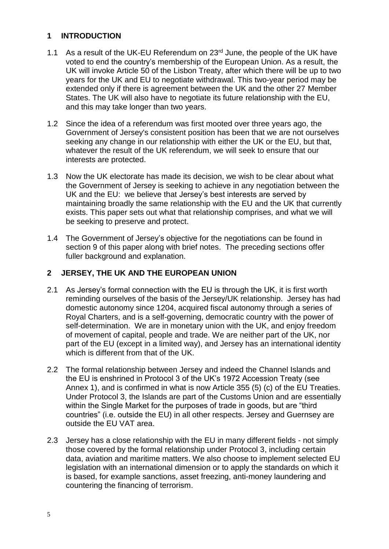#### <span id="page-6-0"></span>**1 INTRODUCTION**

- 1.1 As a result of the UK-EU Referendum on  $23<sup>rd</sup>$  June, the people of the UK have voted to end the country's membership of the European Union. As a result, the UK will invoke Article 50 of the Lisbon Treaty, after which there will be up to two years for the UK and EU to negotiate withdrawal. This two-year period may be extended only if there is agreement between the UK and the other 27 Member States. The UK will also have to negotiate its future relationship with the EU, and this may take longer than two years.
- 1.2 Since the idea of a referendum was first mooted over three years ago, the Government of Jersey's consistent position has been that we are not ourselves seeking any change in our relationship with either the UK or the EU, but that, whatever the result of the UK referendum, we will seek to ensure that our interests are protected.
- 1.3 Now the UK electorate has made its decision, we wish to be clear about what the Government of Jersey is seeking to achieve in any negotiation between the UK and the EU: we believe that Jersey's best interests are served by maintaining broadly the same relationship with the EU and the UK that currently exists. This paper sets out what that relationship comprises, and what we will be seeking to preserve and protect.
- 1.4 The Government of Jersey's objective for the negotiations can be found in section 9 of this paper along with brief notes. The preceding sections offer fuller background and explanation.

#### <span id="page-6-1"></span>**2 JERSEY, THE UK AND THE EUROPEAN UNION**

- 2.1 As Jersey's formal connection with the EU is through the UK, it is first worth reminding ourselves of the basis of the Jersey/UK relationship. Jersey has had domestic autonomy since 1204, acquired fiscal autonomy through a series of Royal Charters, and is a self-governing, democratic country with the power of self-determination. We are in monetary union with the UK, and enjoy freedom of movement of capital, people and trade. We are neither part of the UK, nor part of the EU (except in a limited way), and Jersey has an international identity which is different from that of the UK.
- 2.2 The formal relationship between Jersey and indeed the Channel Islands and the EU is enshrined in Protocol 3 of the UK's 1972 Accession Treaty (see Annex 1), and is confirmed in what is now Article 355 (5) (c) of the EU Treaties. Under Protocol 3, the Islands are part of the Customs Union and are essentially within the Single Market for the purposes of trade in goods, but are "third countries" (i.e. outside the EU) in all other respects. Jersey and Guernsey are outside the EU VAT area.
- 2.3 Jersey has a close relationship with the EU in many different fields not simply those covered by the formal relationship under Protocol 3, including certain data, aviation and maritime matters. We also choose to implement selected EU legislation with an international dimension or to apply the standards on which it is based, for example sanctions, asset freezing, anti-money laundering and countering the financing of terrorism.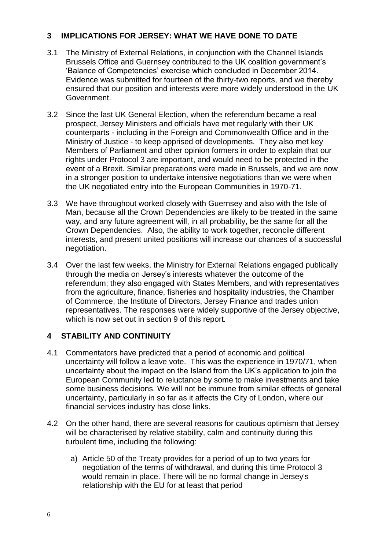#### <span id="page-7-0"></span>**3 IMPLICATIONS FOR JERSEY: WHAT WE HAVE DONE TO DATE**

- 3.1 The Ministry of External Relations, in conjunction with the Channel Islands Brussels Office and Guernsey contributed to the UK coalition government's 'Balance of Competencies' exercise which concluded in December 2014. Evidence was submitted for fourteen of the thirty-two reports, and we thereby ensured that our position and interests were more widely understood in the UK Government.
- 3.2 Since the last UK General Election, when the referendum became a real prospect, Jersey Ministers and officials have met regularly with their UK counterparts - including in the Foreign and Commonwealth Office and in the Ministry of Justice - to keep apprised of developments. They also met key Members of Parliament and other opinion formers in order to explain that our rights under Protocol 3 are important, and would need to be protected in the event of a Brexit. Similar preparations were made in Brussels, and we are now in a stronger position to undertake intensive negotiations than we were when the UK negotiated entry into the European Communities in 1970-71.
- 3.3 We have throughout worked closely with Guernsey and also with the Isle of Man, because all the Crown Dependencies are likely to be treated in the same way, and any future agreement will, in all probability, be the same for all the Crown Dependencies. Also, the ability to work together, reconcile different interests, and present united positions will increase our chances of a successful negotiation.
- 3.4 Over the last few weeks, the Ministry for External Relations engaged publically through the media on Jersey's interests whatever the outcome of the referendum; they also engaged with States Members, and with representatives from the agriculture, finance, fisheries and hospitality industries, the Chamber of Commerce, the Institute of Directors, Jersey Finance and trades union representatives. The responses were widely supportive of the Jersey objective, which is now set out in section 9 of this report.

#### <span id="page-7-1"></span>**4 STABILITY AND CONTINUITY**

- 4.1 Commentators have predicted that a period of economic and political uncertainty will follow a leave vote. This was the experience in 1970/71, when uncertainty about the impact on the Island from the UK's application to join the European Community led to reluctance by some to make investments and take some business decisions. We will not be immune from similar effects of general uncertainty, particularly in so far as it affects the City of London, where our financial services industry has close links.
- 4.2 On the other hand, there are several reasons for cautious optimism that Jersey will be characterised by relative stability, calm and continuity during this turbulent time, including the following:
	- a) Article 50 of the Treaty provides for a period of up to two years for negotiation of the terms of withdrawal, and during this time Protocol 3 would remain in place. There will be no formal change in Jersey's relationship with the EU for at least that period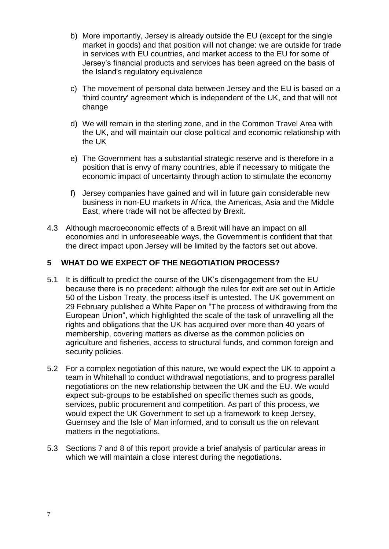- b) More importantly, Jersey is already outside the EU (except for the single market in goods) and that position will not change: we are outside for trade in services with EU countries, and market access to the EU for some of Jersey's financial products and services has been agreed on the basis of the Island's regulatory equivalence
- c) The movement of personal data between Jersey and the EU is based on a 'third country' agreement which is independent of the UK, and that will not change
- d) We will remain in the sterling zone, and in the Common Travel Area with the UK, and will maintain our close political and economic relationship with the UK
- e) The Government has a substantial strategic reserve and is therefore in a position that is envy of many countries, able if necessary to mitigate the economic impact of uncertainty through action to stimulate the economy
- f) Jersey companies have gained and will in future gain considerable new business in non-EU markets in Africa, the Americas, Asia and the Middle East, where trade will not be affected by Brexit.
- 4.3 Although macroeconomic effects of a Brexit will have an impact on all economies and in unforeseeable ways, the Government is confident that that the direct impact upon Jersey will be limited by the factors set out above.

#### <span id="page-8-0"></span>**5 WHAT DO WE EXPECT OF THE NEGOTIATION PROCESS?**

- 5.1 It is difficult to predict the course of the UK's disengagement from the EU because there is no precedent: although the rules for exit are set out in Article 50 of the Lisbon Treaty, the process itself is untested. The UK government on 29 February published a White Paper on "The process of withdrawing from the European Union", which highlighted the scale of the task of unravelling all the rights and obligations that the UK has acquired over more than 40 years of membership, covering matters as diverse as the common policies on agriculture and fisheries, access to structural funds, and common foreign and security policies.
- 5.2 For a complex negotiation of this nature, we would expect the UK to appoint a team in Whitehall to conduct withdrawal negotiations, and to progress parallel negotiations on the new relationship between the UK and the EU. We would expect sub-groups to be established on specific themes such as goods, services, public procurement and competition. As part of this process, we would expect the UK Government to set up a framework to keep Jersey, Guernsey and the Isle of Man informed, and to consult us the on relevant matters in the negotiations.
- 5.3 Sections 7 and 8 of this report provide a brief analysis of particular areas in which we will maintain a close interest during the negotiations.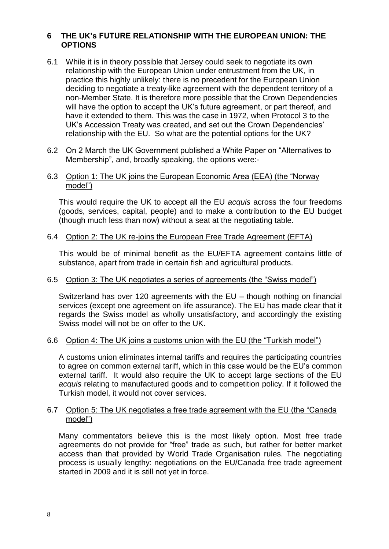#### <span id="page-9-0"></span>**6 THE UK's FUTURE RELATIONSHIP WITH THE EUROPEAN UNION: THE OPTIONS**

- 6.1 While it is in theory possible that Jersey could seek to negotiate its own relationship with the European Union under entrustment from the UK, in practice this highly unlikely: there is no precedent for the European Union deciding to negotiate a treaty-like agreement with the dependent territory of a non-Member State. It is therefore more possible that the Crown Dependencies will have the option to accept the UK's future agreement, or part thereof, and have it extended to them. This was the case in 1972, when Protocol 3 to the UK's Accession Treaty was created, and set out the Crown Dependencies' relationship with the EU. So what are the potential options for the UK?
- 6.2 On 2 March the UK Government published a White Paper on "Alternatives to Membership", and, broadly speaking, the options were:-

#### 6.3 Option 1: The UK joins the European Economic Area (EEA) (the "Norway model")

This would require the UK to accept all the EU *acquis* across the four freedoms (goods, services, capital, people) and to make a contribution to the EU budget (though much less than now) without a seat at the negotiating table.

#### 6.4 Option 2: The UK re-joins the European Free Trade Agreement (EFTA)

This would be of minimal benefit as the EU/EFTA agreement contains little of substance, apart from trade in certain fish and agricultural products.

#### 6.5 Option 3: The UK negotiates a series of agreements (the "Swiss model")

Switzerland has over 120 agreements with the EU – though nothing on financial services (except one agreement on life assurance). The EU has made clear that it regards the Swiss model as wholly unsatisfactory, and accordingly the existing Swiss model will not be on offer to the UK.

#### 6.6 Option 4: The UK joins a customs union with the EU (the "Turkish model")

A customs union eliminates internal tariffs and requires the participating countries to agree on common external tariff, which in this case would be the EU's common external tariff. It would also require the UK to accept large sections of the EU *acquis* relating to manufactured goods and to competition policy. If it followed the Turkish model, it would not cover services.

#### 6.7 Option 5: The UK negotiates a free trade agreement with the EU (the "Canada model")

Many commentators believe this is the most likely option. Most free trade agreements do not provide for "free" trade as such, but rather for better market access than that provided by World Trade Organisation rules. The negotiating process is usually lengthy: negotiations on the EU/Canada free trade agreement started in 2009 and it is still not yet in force.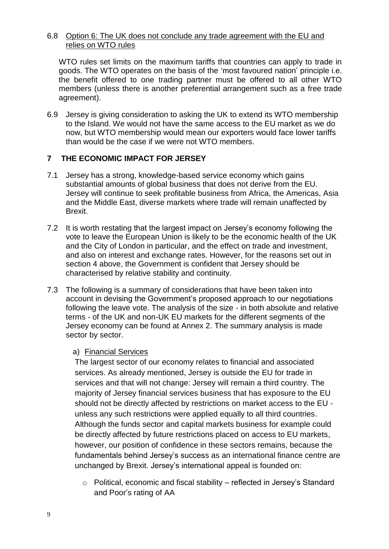#### 6.8 Option 6: The UK does not conclude any trade agreement with the EU and relies on WTO rules

WTO rules set limits on the maximum tariffs that countries can apply to trade in goods. The WTO operates on the basis of the 'most favoured nation' principle i.e. the benefit offered to one trading partner must be offered to all other WTO members (unless there is another preferential arrangement such as a free trade agreement).

6.9 Jersey is giving consideration to asking the UK to extend its WTO membership to the Island. We would not have the same access to the EU market as we do now, but WTO membership would mean our exporters would face lower tariffs than would be the case if we were not WTO members.

#### <span id="page-10-0"></span>**7 THE ECONOMIC IMPACT FOR JERSEY**

- 7.1 Jersey has a strong, knowledge-based service economy which gains substantial amounts of global business that does not derive from the EU. Jersey will continue to seek profitable business from Africa, the Americas, Asia and the Middle East, diverse markets where trade will remain unaffected by Brexit.
- 7.2 It is worth restating that the largest impact on Jersey's economy following the vote to leave the European Union is likely to be the economic health of the UK and the City of London in particular, and the effect on trade and investment, and also on interest and exchange rates. However, for the reasons set out in section 4 above, the Government is confident that Jersey should be characterised by relative stability and continuity.
- 7.3 The following is a summary of considerations that have been taken into account in devising the Government's proposed approach to our negotiations following the leave vote. The analysis of the size - in both absolute and relative terms - of the UK and non-UK EU markets for the different segments of the Jersey economy can be found at Annex 2. The summary analysis is made sector by sector.

#### a) Financial Services

The largest sector of our economy relates to financial and associated services. As already mentioned, Jersey is outside the EU for trade in services and that will not change: Jersey will remain a third country. The majority of Jersey financial services business that has exposure to the EU should not be directly affected by restrictions on market access to the EU unless any such restrictions were applied equally to all third countries. Although the funds sector and capital markets business for example could be directly affected by future restrictions placed on access to EU markets, however, our position of confidence in these sectors remains, because the fundamentals behind Jersey's success as an international finance centre are unchanged by Brexit. Jersey's international appeal is founded on:

o Political, economic and fiscal stability – reflected in Jersey's Standard and Poor's rating of AA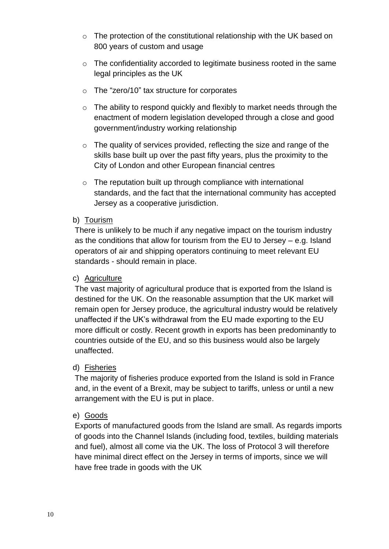- o The protection of the constitutional relationship with the UK based on 800 years of custom and usage
- o The confidentiality accorded to legitimate business rooted in the same legal principles as the UK
- o The "zero/10" tax structure for corporates
- o The ability to respond quickly and flexibly to market needs through the enactment of modern legislation developed through a close and good government/industry working relationship
- o The quality of services provided, reflecting the size and range of the skills base built up over the past fifty years, plus the proximity to the City of London and other European financial centres
- o The reputation built up through compliance with international standards, and the fact that the international community has accepted Jersey as a cooperative jurisdiction.

#### b) Tourism

There is unlikely to be much if any negative impact on the tourism industry as the conditions that allow for tourism from the EU to Jersey – e.g. Island operators of air and shipping operators continuing to meet relevant EU standards - should remain in place.

#### c) Agriculture

The vast majority of agricultural produce that is exported from the Island is destined for the UK. On the reasonable assumption that the UK market will remain open for Jersey produce, the agricultural industry would be relatively unaffected if the UK's withdrawal from the EU made exporting to the EU more difficult or costly. Recent growth in exports has been predominantly to countries outside of the EU, and so this business would also be largely unaffected.

#### d) Fisheries

The majority of fisheries produce exported from the Island is sold in France and, in the event of a Brexit, may be subject to tariffs, unless or until a new arrangement with the EU is put in place.

#### e) Goods

Exports of manufactured goods from the Island are small. As regards imports of goods into the Channel Islands (including food, textiles, building materials and fuel), almost all come via the UK. The loss of Protocol 3 will therefore have minimal direct effect on the Jersey in terms of imports, since we will have free trade in goods with the UK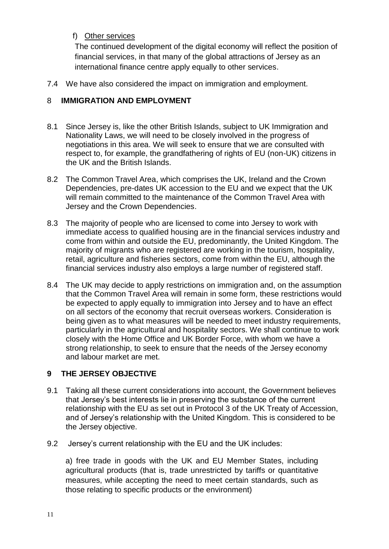# f) Other services

The continued development of the digital economy will reflect the position of financial services, in that many of the global attractions of Jersey as an international finance centre apply equally to other services.

7.4 We have also considered the impact on immigration and employment.

# <span id="page-12-0"></span>8 **IMMIGRATION AND EMPLOYMENT**

- 8.1 Since Jersey is, like the other British Islands, subject to UK Immigration and Nationality Laws, we will need to be closely involved in the progress of negotiations in this area. We will seek to ensure that we are consulted with respect to, for example, the grandfathering of rights of EU (non-UK) citizens in the UK and the British Islands.
- 8.2 The Common Travel Area, which comprises the UK, Ireland and the Crown Dependencies, pre-dates UK accession to the EU and we expect that the UK will remain committed to the maintenance of the Common Travel Area with Jersey and the Crown Dependencies.
- 8.3 The majority of people who are licensed to come into Jersey to work with immediate access to qualified housing are in the financial services industry and come from within and outside the EU, predominantly, the United Kingdom. The majority of migrants who are registered are working in the tourism, hospitality, retail, agriculture and fisheries sectors, come from within the EU, although the financial services industry also employs a large number of registered staff.
- 8.4 The UK may decide to apply restrictions on immigration and, on the assumption that the Common Travel Area will remain in some form, these restrictions would be expected to apply equally to immigration into Jersey and to have an effect on all sectors of the economy that recruit overseas workers. Consideration is being given as to what measures will be needed to meet industry requirements, particularly in the agricultural and hospitality sectors. We shall continue to work closely with the Home Office and UK Border Force, with whom we have a strong relationship, to seek to ensure that the needs of the Jersey economy and labour market are met.

# <span id="page-12-1"></span>**9 THE JERSEY OBJECTIVE**

- 9.1 Taking all these current considerations into account, the Government believes that Jersey's best interests lie in preserving the substance of the current relationship with the EU as set out in Protocol 3 of the UK Treaty of Accession, and of Jersey's relationship with the United Kingdom. This is considered to be the Jersey objective.
- 9.2 Jersey's current relationship with the EU and the UK includes:

a) free trade in goods with the UK and EU Member States, including agricultural products (that is, trade unrestricted by tariffs or quantitative measures, while accepting the need to meet certain standards, such as those relating to specific products or the environment)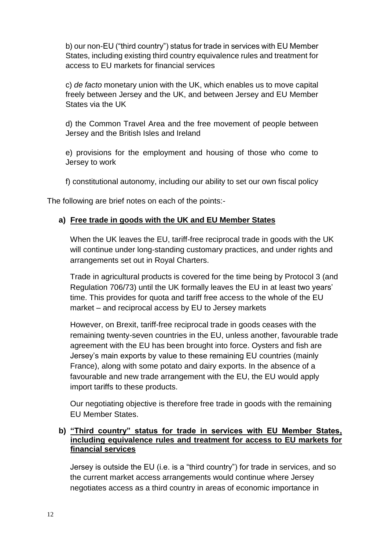b) our non-EU ("third country") status for trade in services with EU Member States, including existing third country equivalence rules and treatment for access to EU markets for financial services

c) *de facto* monetary union with the UK, which enables us to move capital freely between Jersey and the UK, and between Jersey and EU Member States via the UK

d) the Common Travel Area and the free movement of people between Jersey and the British Isles and Ireland

e) provisions for the employment and housing of those who come to Jersey to work

f) constitutional autonomy, including our ability to set our own fiscal policy

The following are brief notes on each of the points:-

# **a) Free trade in goods with the UK and EU Member States**

When the UK leaves the EU, tariff-free reciprocal trade in goods with the UK will continue under long-standing customary practices, and under rights and arrangements set out in Royal Charters.

Trade in agricultural products is covered for the time being by Protocol 3 (and Regulation 706/73) until the UK formally leaves the EU in at least two years' time. This provides for quota and tariff free access to the whole of the EU market – and reciprocal access by EU to Jersey markets

However, on Brexit, tariff-free reciprocal trade in goods ceases with the remaining twenty-seven countries in the EU, unless another, favourable trade agreement with the EU has been brought into force. Oysters and fish are Jersey's main exports by value to these remaining EU countries (mainly France), along with some potato and dairy exports. In the absence of a favourable and new trade arrangement with the EU, the EU would apply import tariffs to these products.

Our negotiating objective is therefore free trade in goods with the remaining EU Member States.

#### **b) "Third country" status for trade in services with EU Member States, including equivalence rules and treatment for access to EU markets for financial services**

Jersey is outside the EU (i.e. is a "third country") for trade in services, and so the current market access arrangements would continue where Jersey negotiates access as a third country in areas of economic importance in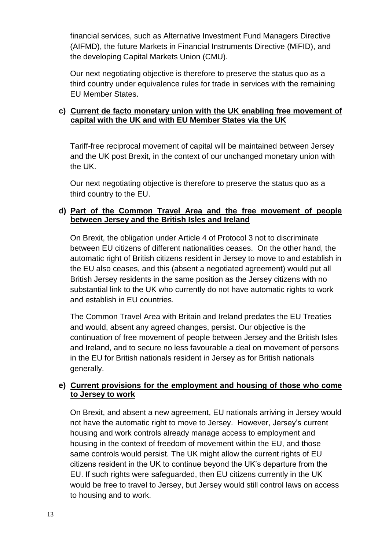financial services, such as Alternative Investment Fund Managers Directive (AIFMD), the future Markets in Financial Instruments Directive (MiFID), and the developing Capital Markets Union (CMU).

Our next negotiating objective is therefore to preserve the status quo as a third country under equivalence rules for trade in services with the remaining EU Member States.

#### **c) Current de facto monetary union with the UK enabling free movement of capital with the UK and with EU Member States via the UK**

Tariff-free reciprocal movement of capital will be maintained between Jersey and the UK post Brexit, in the context of our unchanged monetary union with the UK.

Our next negotiating objective is therefore to preserve the status quo as a third country to the EU.

#### **d) Part of the Common Travel Area and the free movement of people between Jersey and the British Isles and Ireland**

On Brexit, the obligation under Article 4 of Protocol 3 not to discriminate between EU citizens of different nationalities ceases. On the other hand, the automatic right of British citizens resident in Jersey to move to and establish in the EU also ceases, and this (absent a negotiated agreement) would put all British Jersey residents in the same position as the Jersey citizens with no substantial link to the UK who currently do not have automatic rights to work and establish in EU countries.

The Common Travel Area with Britain and Ireland predates the EU Treaties and would, absent any agreed changes, persist. Our objective is the continuation of free movement of people between Jersey and the British Isles and Ireland, and to secure no less favourable a deal on movement of persons in the EU for British nationals resident in Jersey as for British nationals generally.

#### **e) Current provisions for the employment and housing of those who come to Jersey to work**

On Brexit, and absent a new agreement, EU nationals arriving in Jersey would not have the automatic right to move to Jersey. However, Jersey's current housing and work controls already manage access to employment and housing in the context of freedom of movement within the EU, and those same controls would persist. The UK might allow the current rights of EU citizens resident in the UK to continue beyond the UK's departure from the EU. If such rights were safeguarded, then EU citizens currently in the UK would be free to travel to Jersey, but Jersey would still control laws on access to housing and to work.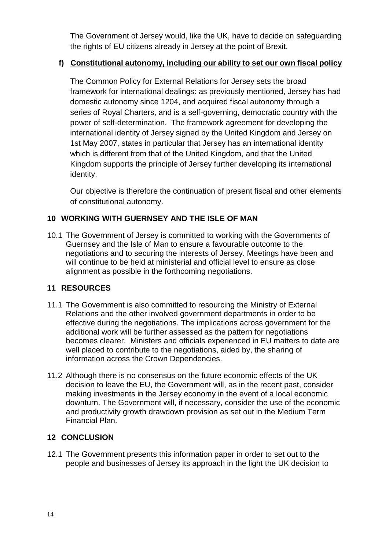The Government of Jersey would, like the UK, have to decide on safeguarding the rights of EU citizens already in Jersey at the point of Brexit.

#### **f) Constitutional autonomy, including our ability to set our own fiscal policy**

The Common Policy for External Relations for Jersey sets the broad framework for international dealings: as previously mentioned, Jersey has had domestic autonomy since 1204, and acquired fiscal autonomy through a series of Royal Charters, and is a self-governing, democratic country with the power of self-determination. The framework agreement for developing the international identity of Jersey signed by the United Kingdom and Jersey on 1st May 2007, states in particular that Jersey has an international identity which is different from that of the United Kingdom, and that the United Kingdom supports the principle of Jersey further developing its international identity.

Our objective is therefore the continuation of present fiscal and other elements of constitutional autonomy.

#### <span id="page-15-0"></span>**10 WORKING WITH GUERNSEY AND THE ISLE OF MAN**

10.1 The Government of Jersey is committed to working with the Governments of Guernsey and the Isle of Man to ensure a favourable outcome to the negotiations and to securing the interests of Jersey. Meetings have been and will continue to be held at ministerial and official level to ensure as close alignment as possible in the forthcoming negotiations.

#### <span id="page-15-1"></span>**11 RESOURCES**

- 11.1 The Government is also committed to resourcing the Ministry of External Relations and the other involved government departments in order to be effective during the negotiations. The implications across government for the additional work will be further assessed as the pattern for negotiations becomes clearer. Ministers and officials experienced in EU matters to date are well placed to contribute to the negotiations, aided by, the sharing of information across the Crown Dependencies.
- 11.2 Although there is no consensus on the future economic effects of the UK decision to leave the EU, the Government will, as in the recent past, consider making investments in the Jersey economy in the event of a local economic downturn. The Government will, if necessary, consider the use of the economic and productivity growth drawdown provision as set out in the Medium Term Financial Plan.

#### <span id="page-15-2"></span>**12 CONCLUSION**

12.1 The Government presents this information paper in order to set out to the people and businesses of Jersey its approach in the light the UK decision to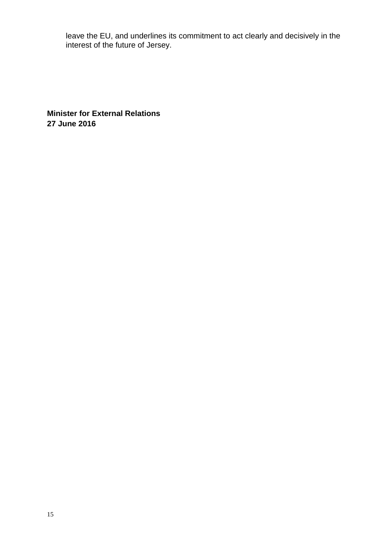leave the EU, and underlines its commitment to act clearly and decisively in the interest of the future of Jersey.

**Minister for External Relations 27 June 2016**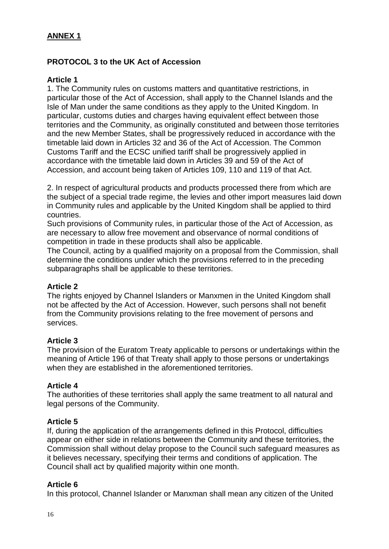### **ANNEX 1**

#### **PROTOCOL 3 to the UK Act of Accession**

#### **Article 1**

1. The Community rules on customs matters and quantitative restrictions, in particular those of the Act of Accession, shall apply to the Channel Islands and the Isle of Man under the same conditions as they apply to the United Kingdom. In particular, customs duties and charges having equivalent effect between those territories and the Community, as originally constituted and between those territories and the new Member States, shall be progressively reduced in accordance with the timetable laid down in Articles 32 and 36 of the Act of Accession. The Common Customs Tariff and the ECSC unified tariff shall be progressively applied in accordance with the timetable laid down in Articles 39 and 59 of the Act of Accession, and account being taken of Articles 109, 110 and 119 of that Act.

2. In respect of agricultural products and products processed there from which are the subject of a special trade regime, the levies and other import measures laid down in Community rules and applicable by the United Kingdom shall be applied to third countries.

Such provisions of Community rules, in particular those of the Act of Accession, as are necessary to allow free movement and observance of normal conditions of competition in trade in these products shall also be applicable.

The Council, acting by a qualified majority on a proposal from the Commission, shall determine the conditions under which the provisions referred to in the preceding subparagraphs shall be applicable to these territories.

#### **Article 2**

The rights enjoyed by Channel Islanders or Manxmen in the United Kingdom shall not be affected by the Act of Accession. However, such persons shall not benefit from the Community provisions relating to the free movement of persons and services.

#### **Article 3**

The provision of the Euratom Treaty applicable to persons or undertakings within the meaning of Article 196 of that Treaty shall apply to those persons or undertakings when they are established in the aforementioned territories.

#### **Article 4**

The authorities of these territories shall apply the same treatment to all natural and legal persons of the Community.

#### **Article 5**

If, during the application of the arrangements defined in this Protocol, difficulties appear on either side in relations between the Community and these territories, the Commission shall without delay propose to the Council such safeguard measures as it believes necessary, specifying their terms and conditions of application. The Council shall act by qualified majority within one month.

#### **Article 6**

In this protocol, Channel Islander or Manxman shall mean any citizen of the United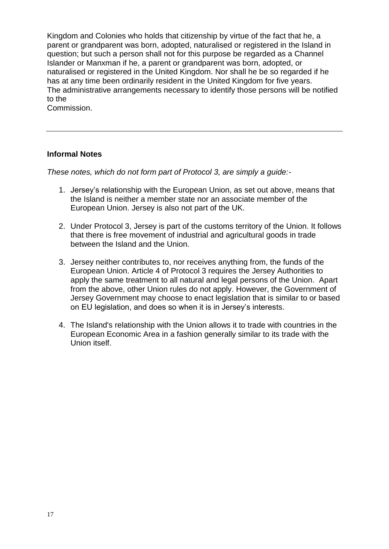Kingdom and Colonies who holds that citizenship by virtue of the fact that he, a parent or grandparent was born, adopted, naturalised or registered in the Island in question; but such a person shall not for this purpose be regarded as a Channel Islander or Manxman if he, a parent or grandparent was born, adopted, or naturalised or registered in the United Kingdom. Nor shall he be so regarded if he has at any time been ordinarily resident in the United Kingdom for five years. The administrative arrangements necessary to identify those persons will be notified to the

Commission.

#### **Informal Notes**

*These notes, which do not form part of Protocol 3, are simply a guide:-*

- 1. Jersey's relationship with the European Union, as set out above, means that the Island is neither a member state nor an associate member of the European Union. Jersey is also not part of the UK.
- 2. Under Protocol 3, Jersey is part of the customs territory of the Union. It follows that there is free movement of industrial and agricultural goods in trade between the Island and the Union.
- 3. Jersey neither contributes to, nor receives anything from, the funds of the European Union. Article 4 of Protocol 3 requires the Jersey Authorities to apply the same treatment to all natural and legal persons of the Union. Apart from the above, other Union rules do not apply. However, the Government of Jersey Government may choose to enact legislation that is similar to or based on EU legislation, and does so when it is in Jersey's interests.
- 4. The Island's relationship with the Union allows it to trade with countries in the European Economic Area in a fashion generally similar to its trade with the Union itself.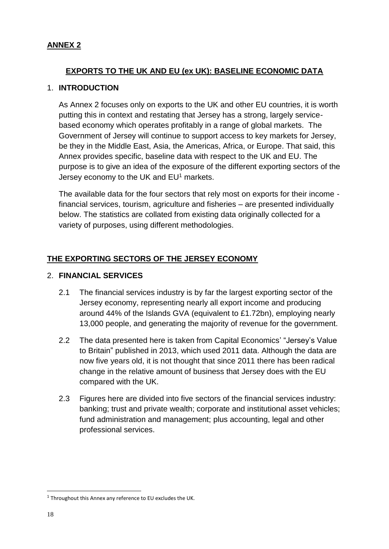#### **ANNEX 2**

## **EXPORTS TO THE UK AND EU (ex UK): BASELINE ECONOMIC DATA**

#### 1. **INTRODUCTION**

As Annex 2 focuses only on exports to the UK and other EU countries, it is worth putting this in context and restating that Jersey has a strong, largely servicebased economy which operates profitably in a range of global markets. The Government of Jersey will continue to support access to key markets for Jersey, be they in the Middle East, Asia, the Americas, Africa, or Europe. That said, this Annex provides specific, baseline data with respect to the UK and EU. The purpose is to give an idea of the exposure of the different exporting sectors of the Jersey economy to the UK and  $EU<sup>1</sup>$  markets.

The available data for the four sectors that rely most on exports for their income financial services, tourism, agriculture and fisheries – are presented individually below. The statistics are collated from existing data originally collected for a variety of purposes, using different methodologies.

# **THE EXPORTING SECTORS OF THE JERSEY ECONOMY**

#### 2. **FINANCIAL SERVICES**

- 2.1 The financial services industry is by far the largest exporting sector of the Jersey economy, representing nearly all export income and producing around 44% of the Islands GVA (equivalent to £1.72bn), employing nearly 13,000 people, and generating the majority of revenue for the government.
- 2.2 The data presented here is taken from Capital Economics' "Jersey's Value to Britain" published in 2013, which used 2011 data. Although the data are now five years old, it is not thought that since 2011 there has been radical change in the relative amount of business that Jersey does with the EU compared with the UK.
- 2.3 Figures here are divided into five sectors of the financial services industry: banking; trust and private wealth; corporate and institutional asset vehicles; fund administration and management; plus accounting, legal and other professional services.

-

 $1$  Throughout this Annex any reference to EU excludes the UK.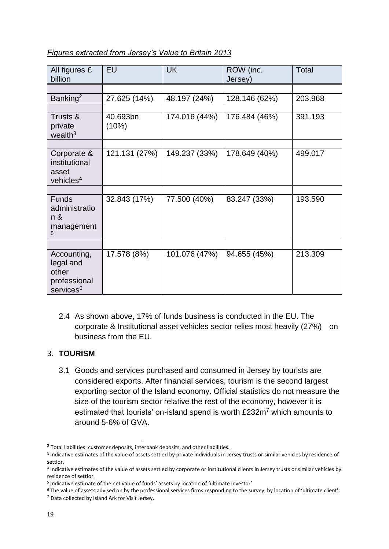#### *Figures extracted from Jersey's Value to Britain 2013*

| All figures £<br>billion                                                   | EU                | <b>UK</b>     | ROW (inc.<br>Jersey) | Total   |
|----------------------------------------------------------------------------|-------------------|---------------|----------------------|---------|
|                                                                            |                   |               |                      |         |
| Banking <sup>2</sup>                                                       | 27.625 (14%)      | 48.197 (24%)  | 128.146 (62%)        | 203.968 |
|                                                                            |                   |               |                      |         |
| Trusts &<br>private<br>wealth $3$                                          | 40.693bn<br>(10%) | 174.016 (44%) | 176.484 (46%)        | 391.193 |
|                                                                            |                   |               |                      |         |
| Corporate &<br>institutional<br>asset<br>vehicles $4$                      | 121.131 (27%)     | 149.237 (33%) | 178.649 (40%)        | 499.017 |
|                                                                            |                   |               |                      |         |
| <b>Funds</b><br>administratio<br>n &<br>management<br>5                    | 32.843 (17%)      | 77.500 (40%)  | 83.247 (33%)         | 193.590 |
|                                                                            |                   |               |                      |         |
| Accounting,<br>legal and<br>other<br>professional<br>services <sup>6</sup> | 17.578 (8%)       | 101.076 (47%) | 94.655 (45%)         | 213.309 |

2.4 As shown above, 17% of funds business is conducted in the EU. The corporate & Institutional asset vehicles sector relies most heavily (27%) on business from the EU.

#### 3. **TOURISM**

3.1 Goods and services purchased and consumed in Jersey by tourists are considered exports. After financial services, tourism is the second largest exporting sector of the Island economy. Official statistics do not measure the size of the tourism sector relative the rest of the economy, however it is estimated that tourists' on-island spend is worth £232m<sup>7</sup> which amounts to around 5-6% of GVA.

1

<sup>&</sup>lt;sup>2</sup> Total liabilities: customer deposits, interbank deposits, and other liabilities.

<sup>&</sup>lt;sup>3</sup> Indicative estimates of the value of assets settled by private individuals in Jersey trusts or similar vehicles by residence of settlor.

<sup>4</sup> Indicative estimates of the value of assets settled by corporate or institutional clients in Jersey trusts or similar vehicles by residence of settlor.

<sup>&</sup>lt;sup>5</sup> Indicative estimate of the net value of funds' assets by location of 'ultimate investor'

<sup>6</sup> The value of assets advised on by the professional services firms responding to the survey, by location of 'ultimate client'.

<sup>7</sup> Data collected by Island Ark for Visit Jersey.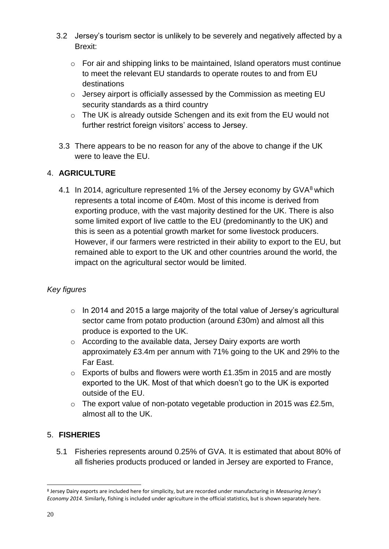- 3.2 Jersey's tourism sector is unlikely to be severely and negatively affected by a Brexit:
	- o For air and shipping links to be maintained, Island operators must continue to meet the relevant EU standards to operate routes to and from EU destinations
	- o Jersey airport is officially assessed by the Commission as meeting EU security standards as a third country
	- o The UK is already outside Schengen and its exit from the EU would not further restrict foreign visitors' access to Jersey.
- 3.3 There appears to be no reason for any of the above to change if the UK were to leave the EU.

# 4. **AGRICULTURE**

4.1 In 2014, agriculture represented 1% of the Jersey economy by  $\text{GVA}^8$  which represents a total income of £40m. Most of this income is derived from exporting produce, with the vast majority destined for the UK. There is also some limited export of live cattle to the EU (predominantly to the UK) and this is seen as a potential growth market for some livestock producers. However, if our farmers were restricted in their ability to export to the EU, but remained able to export to the UK and other countries around the world, the impact on the agricultural sector would be limited.

#### *Key figures*

- o In 2014 and 2015 a large majority of the total value of Jersey's agricultural sector came from potato production (around £30m) and almost all this produce is exported to the UK.
- o According to the available data, Jersey Dairy exports are worth approximately £3.4m per annum with 71% going to the UK and 29% to the Far East.
- o Exports of bulbs and flowers were worth £1.35m in 2015 and are mostly exported to the UK. Most of that which doesn't go to the UK is exported outside of the EU.
- o The export value of non-potato vegetable production in 2015 was £2.5m, almost all to the UK.

#### 5. **FISHERIES**

5.1 Fisheries represents around 0.25% of GVA. It is estimated that about 80% of all fisheries products produced or landed in Jersey are exported to France,

-

<sup>8</sup> Jersey Dairy exports are included here for simplicity, but are recorded under manufacturing in *Measuring Jersey's Economy 2014.* Similarly, fishing is included under agriculture in the official statistics, but is shown separately here.